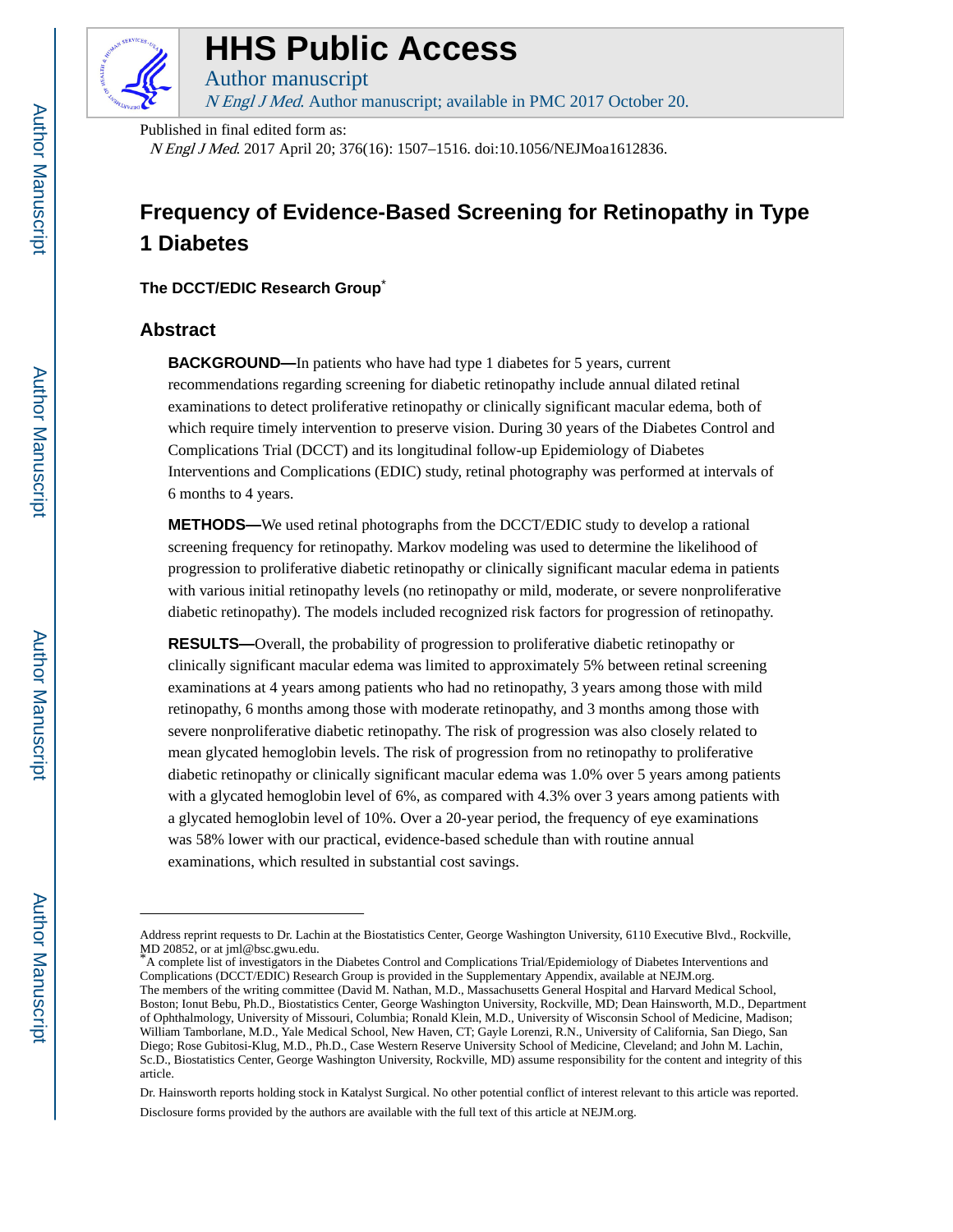

## **HHS Public Access**

Author manuscript N Engl J Med. Author manuscript; available in PMC 2017 October 20.

Published in final edited form as:

N Engl J Med. 2017 April 20; 376(16): 1507–1516. doi:10.1056/NEJMoa1612836.

### **Frequency of Evidence-Based Screening for Retinopathy in Type 1 Diabetes**

**The DCCT/EDIC Research Group**\*

#### **Abstract**

**BACKGROUND—**In patients who have had type 1 diabetes for 5 years, current recommendations regarding screening for diabetic retinopathy include annual dilated retinal examinations to detect proliferative retinopathy or clinically significant macular edema, both of which require timely intervention to preserve vision. During 30 years of the Diabetes Control and Complications Trial (DCCT) and its longitudinal follow-up Epidemiology of Diabetes Interventions and Complications (EDIC) study, retinal photography was performed at intervals of 6 months to 4 years.

**METHODS—**We used retinal photographs from the DCCT/EDIC study to develop a rational screening frequency for retinopathy. Markov modeling was used to determine the likelihood of progression to proliferative diabetic retinopathy or clinically significant macular edema in patients with various initial retinopathy levels (no retinopathy or mild, moderate, or severe nonproliferative diabetic retinopathy). The models included recognized risk factors for progression of retinopathy.

**RESULTS—**Overall, the probability of progression to proliferative diabetic retinopathy or clinically significant macular edema was limited to approximately 5% between retinal screening examinations at 4 years among patients who had no retinopathy, 3 years among those with mild retinopathy, 6 months among those with moderate retinopathy, and 3 months among those with severe nonproliferative diabetic retinopathy. The risk of progression was also closely related to mean glycated hemoglobin levels. The risk of progression from no retinopathy to proliferative diabetic retinopathy or clinically significant macular edema was 1.0% over 5 years among patients with a glycated hemoglobin level of 6%, as compared with 4.3% over 3 years among patients with a glycated hemoglobin level of 10%. Over a 20-year period, the frequency of eye examinations was 58% lower with our practical, evidence-based schedule than with routine annual examinations, which resulted in substantial cost savings.

Dr. Hainsworth reports holding stock in Katalyst Surgical. No other potential conflict of interest relevant to this article was reported. Disclosure forms provided by the authors are available with the full text of this article at NEJM.org.

Address reprint requests to Dr. Lachin at the Biostatistics Center, George Washington University, 6110 Executive Blvd., Rockville, MD 20852, or at jml@bsc.gwu.edu.

<sup>\*</sup>A complete list of investigators in the Diabetes Control and Complications Trial/Epidemiology of Diabetes Interventions and Complications (DCCT/EDIC) Research Group is provided in the Supplementary Appendix, available at NEJM.org. The members of the writing committee (David M. Nathan, M.D., Massachusetts General Hospital and Harvard Medical School, Boston; Ionut Bebu, Ph.D., Biostatistics Center, George Washington University, Rockville, MD; Dean Hainsworth, M.D., Department of Ophthalmology, University of Missouri, Columbia; Ronald Klein, M.D., University of Wisconsin School of Medicine, Madison; William Tamborlane, M.D., Yale Medical School, New Haven, CT; Gayle Lorenzi, R.N., University of California, San Diego, San Diego; Rose Gubitosi-Klug, M.D., Ph.D., Case Western Reserve University School of Medicine, Cleveland; and John M. Lachin, Sc.D., Biostatistics Center, George Washington University, Rockville, MD) assume responsibility for the content and integrity of this article.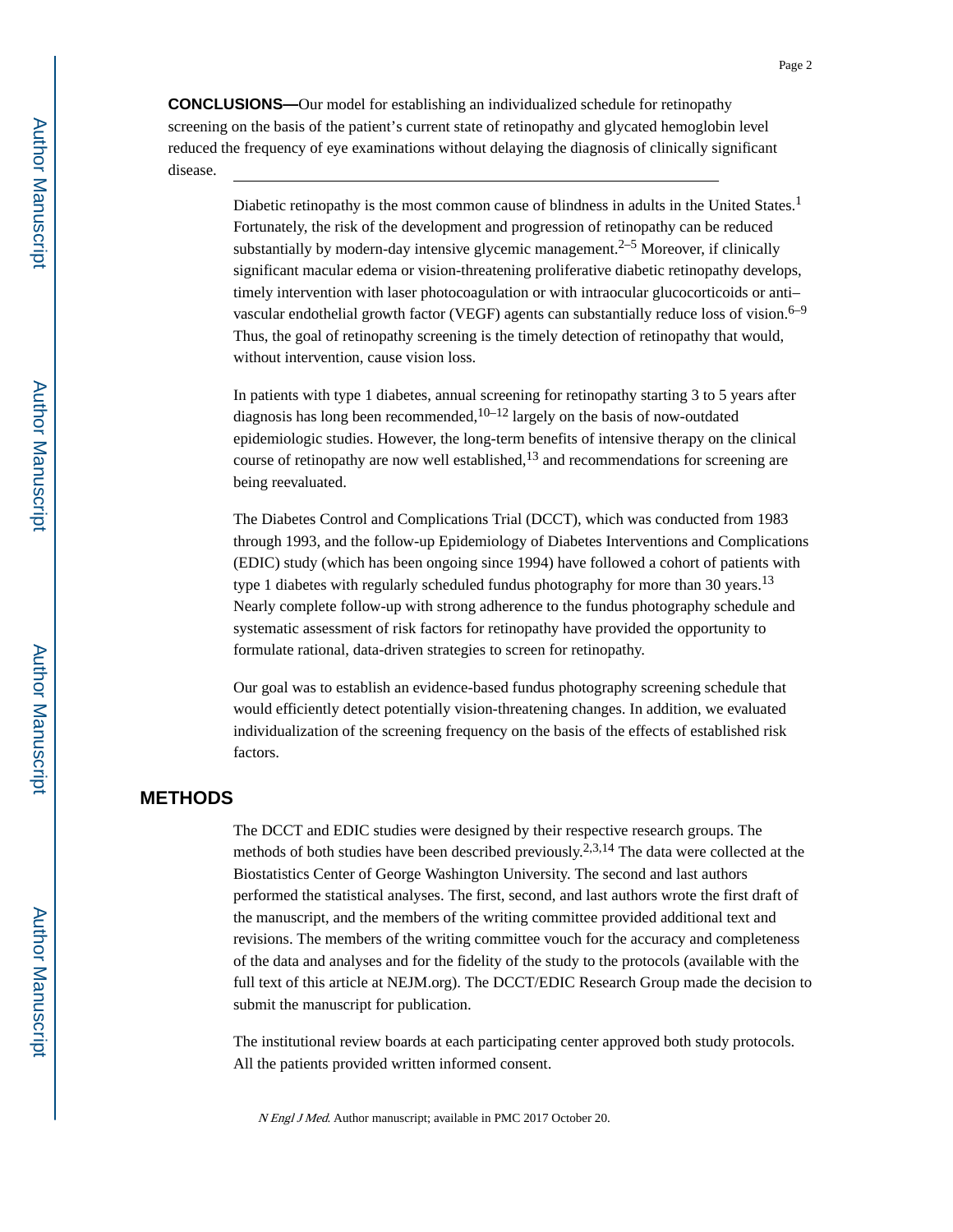**CONCLUSIONS—**Our model for establishing an individualized schedule for retinopathy screening on the basis of the patient's current state of retinopathy and glycated hemoglobin level reduced the frequency of eye examinations without delaying the diagnosis of clinically significant disease.

> Diabetic retinopathy is the most common cause of blindness in adults in the United States.<sup>1</sup> Fortunately, the risk of the development and progression of retinopathy can be reduced substantially by modern-day intensive glycemic management.<sup>2–5</sup> Moreover, if clinically significant macular edema or vision-threatening proliferative diabetic retinopathy develops, timely intervention with laser photocoagulation or with intraocular glucocorticoids or anti– vascular endothelial growth factor (VEGF) agents can substantially reduce loss of vision.<sup>6–9</sup> Thus, the goal of retinopathy screening is the timely detection of retinopathy that would, without intervention, cause vision loss.

In patients with type 1 diabetes, annual screening for retinopathy starting 3 to 5 years after diagnosis has long been recommended,  $10-12$  largely on the basis of now-outdated epidemiologic studies. However, the long-term benefits of intensive therapy on the clinical course of retinopathy are now well established, $^{13}$  and recommendations for screening are being reevaluated.

The Diabetes Control and Complications Trial (DCCT), which was conducted from 1983 through 1993, and the follow-up Epidemiology of Diabetes Interventions and Complications (EDIC) study (which has been ongoing since 1994) have followed a cohort of patients with type 1 diabetes with regularly scheduled fundus photography for more than 30 years.<sup>13</sup> Nearly complete follow-up with strong adherence to the fundus photography schedule and systematic assessment of risk factors for retinopathy have provided the opportunity to formulate rational, data-driven strategies to screen for retinopathy.

Our goal was to establish an evidence-based fundus photography screening schedule that would efficiently detect potentially vision-threatening changes. In addition, we evaluated individualization of the screening frequency on the basis of the effects of established risk factors.

#### **METHODS**

The DCCT and EDIC studies were designed by their respective research groups. The methods of both studies have been described previously.<sup>2,3,14</sup> The data were collected at the Biostatistics Center of George Washington University. The second and last authors performed the statistical analyses. The first, second, and last authors wrote the first draft of the manuscript, and the members of the writing committee provided additional text and revisions. The members of the writing committee vouch for the accuracy and completeness of the data and analyses and for the fidelity of the study to the protocols (available with the full text of this article at NEJM.org). The DCCT/EDIC Research Group made the decision to submit the manuscript for publication.

The institutional review boards at each participating center approved both study protocols. All the patients provided written informed consent.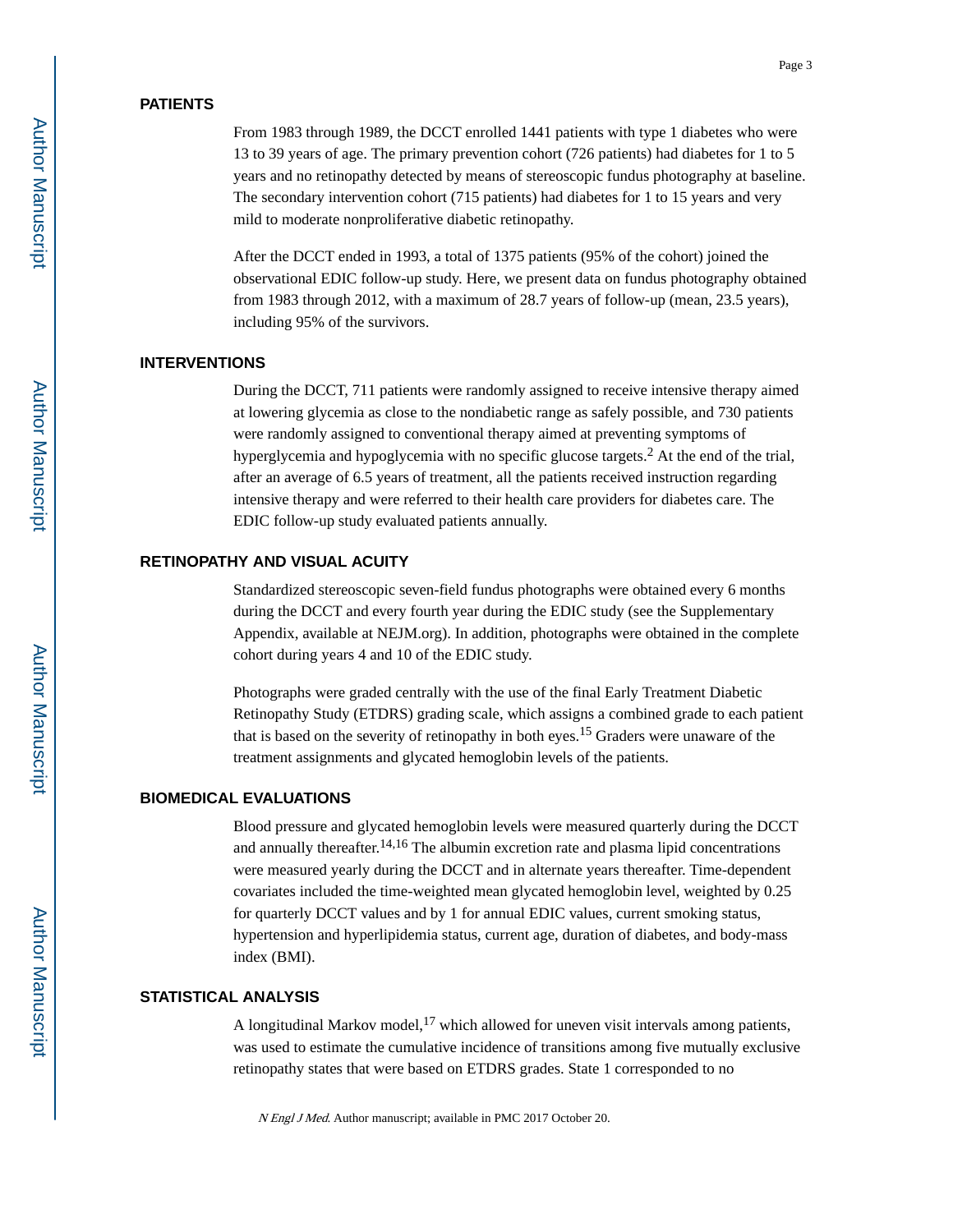#### **PATIENTS**

From 1983 through 1989, the DCCT enrolled 1441 patients with type 1 diabetes who were 13 to 39 years of age. The primary prevention cohort (726 patients) had diabetes for 1 to 5 years and no retinopathy detected by means of stereoscopic fundus photography at baseline. The secondary intervention cohort (715 patients) had diabetes for 1 to 15 years and very mild to moderate nonproliferative diabetic retinopathy.

After the DCCT ended in 1993, a total of 1375 patients (95% of the cohort) joined the observational EDIC follow-up study. Here, we present data on fundus photography obtained from 1983 through 2012, with a maximum of 28.7 years of follow-up (mean, 23.5 years), including 95% of the survivors.

#### **INTERVENTIONS**

During the DCCT, 711 patients were randomly assigned to receive intensive therapy aimed at lowering glycemia as close to the nondiabetic range as safely possible, and 730 patients were randomly assigned to conventional therapy aimed at preventing symptoms of hyperglycemia and hypoglycemia with no specific glucose targets.<sup>2</sup> At the end of the trial, after an average of 6.5 years of treatment, all the patients received instruction regarding intensive therapy and were referred to their health care providers for diabetes care. The EDIC follow-up study evaluated patients annually.

#### **RETINOPATHY AND VISUAL ACUITY**

Standardized stereoscopic seven-field fundus photographs were obtained every 6 months during the DCCT and every fourth year during the EDIC study (see the Supplementary Appendix, available at NEJM.org). In addition, photographs were obtained in the complete cohort during years 4 and 10 of the EDIC study.

Photographs were graded centrally with the use of the final Early Treatment Diabetic Retinopathy Study (ETDRS) grading scale, which assigns a combined grade to each patient that is based on the severity of retinopathy in both eyes.15 Graders were unaware of the treatment assignments and glycated hemoglobin levels of the patients.

#### **BIOMEDICAL EVALUATIONS**

Blood pressure and glycated hemoglobin levels were measured quarterly during the DCCT and annually thereafter.14,16 The albumin excretion rate and plasma lipid concentrations were measured yearly during the DCCT and in alternate years thereafter. Time-dependent covariates included the time-weighted mean glycated hemoglobin level, weighted by 0.25 for quarterly DCCT values and by 1 for annual EDIC values, current smoking status, hypertension and hyperlipidemia status, current age, duration of diabetes, and body-mass index (BMI).

#### **STATISTICAL ANALYSIS**

A longitudinal Markov model,  $17$  which allowed for uneven visit intervals among patients, was used to estimate the cumulative incidence of transitions among five mutually exclusive retinopathy states that were based on ETDRS grades. State 1 corresponded to no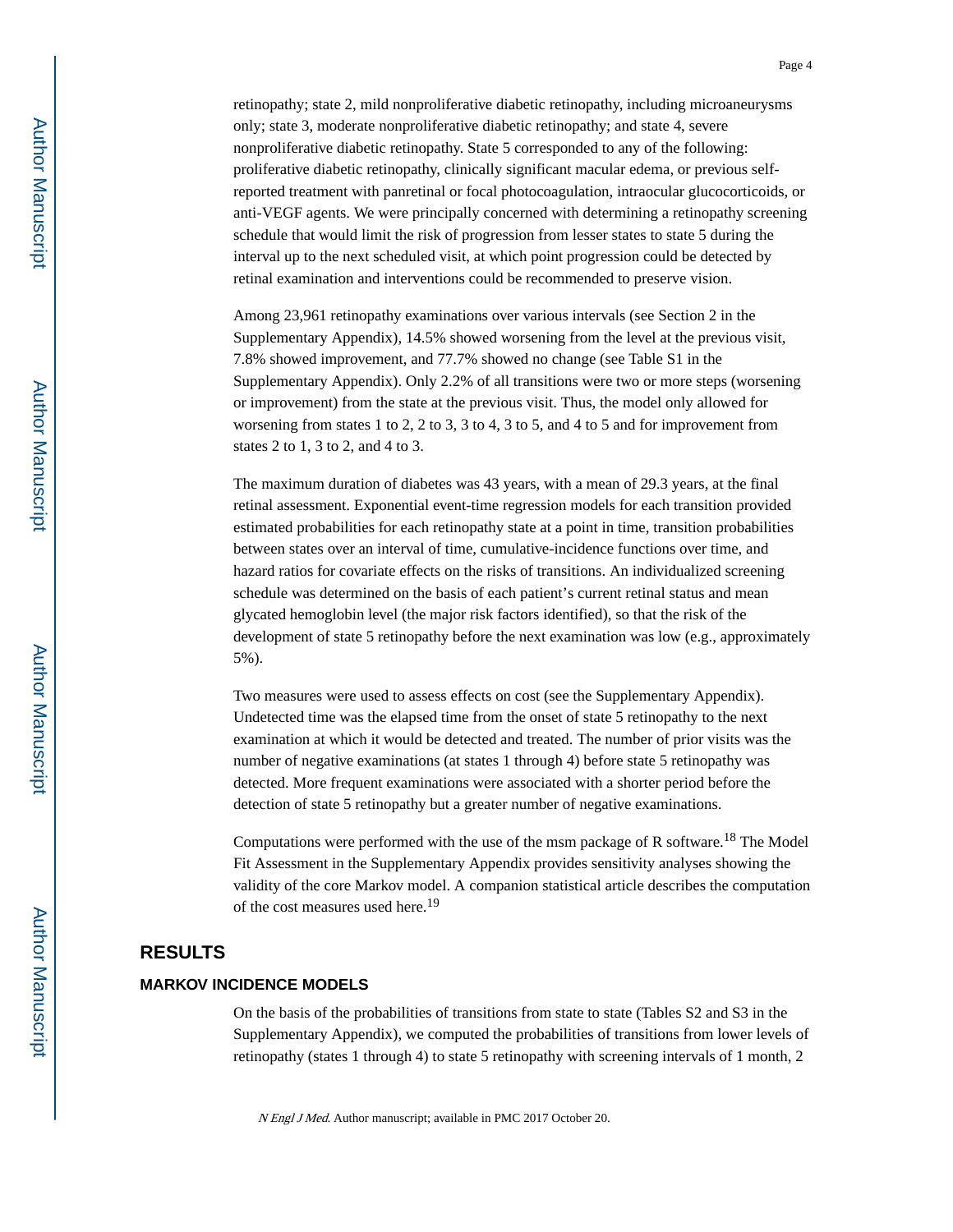retinopathy; state 2, mild nonproliferative diabetic retinopathy, including microaneurysms only; state 3, moderate nonproliferative diabetic retinopathy; and state 4, severe nonproliferative diabetic retinopathy. State 5 corresponded to any of the following: proliferative diabetic retinopathy, clinically significant macular edema, or previous selfreported treatment with panretinal or focal photocoagulation, intraocular glucocorticoids, or anti-VEGF agents. We were principally concerned with determining a retinopathy screening schedule that would limit the risk of progression from lesser states to state 5 during the interval up to the next scheduled visit, at which point progression could be detected by retinal examination and interventions could be recommended to preserve vision.

Among 23,961 retinopathy examinations over various intervals (see Section 2 in the Supplementary Appendix), 14.5% showed worsening from the level at the previous visit, 7.8% showed improvement, and 77.7% showed no change (see Table S1 in the Supplementary Appendix). Only 2.2% of all transitions were two or more steps (worsening or improvement) from the state at the previous visit. Thus, the model only allowed for worsening from states 1 to 2, 2 to 3, 3 to 4, 3 to 5, and 4 to 5 and for improvement from states 2 to 1, 3 to 2, and 4 to 3.

The maximum duration of diabetes was 43 years, with a mean of 29.3 years, at the final retinal assessment. Exponential event-time regression models for each transition provided estimated probabilities for each retinopathy state at a point in time, transition probabilities between states over an interval of time, cumulative-incidence functions over time, and hazard ratios for covariate effects on the risks of transitions. An individualized screening schedule was determined on the basis of each patient's current retinal status and mean glycated hemoglobin level (the major risk factors identified), so that the risk of the development of state 5 retinopathy before the next examination was low (e.g., approximately 5%).

Two measures were used to assess effects on cost (see the Supplementary Appendix). Undetected time was the elapsed time from the onset of state 5 retinopathy to the next examination at which it would be detected and treated. The number of prior visits was the number of negative examinations (at states 1 through 4) before state 5 retinopathy was detected. More frequent examinations were associated with a shorter period before the detection of state 5 retinopathy but a greater number of negative examinations.

Computations were performed with the use of the msm package of R software.<sup>18</sup> The Model Fit Assessment in the Supplementary Appendix provides sensitivity analyses showing the validity of the core Markov model. A companion statistical article describes the computation of the cost measures used here.<sup>19</sup>

#### **RESULTS**

#### **MARKOV INCIDENCE MODELS**

On the basis of the probabilities of transitions from state to state (Tables S2 and S3 in the Supplementary Appendix), we computed the probabilities of transitions from lower levels of retinopathy (states 1 through 4) to state 5 retinopathy with screening intervals of 1 month, 2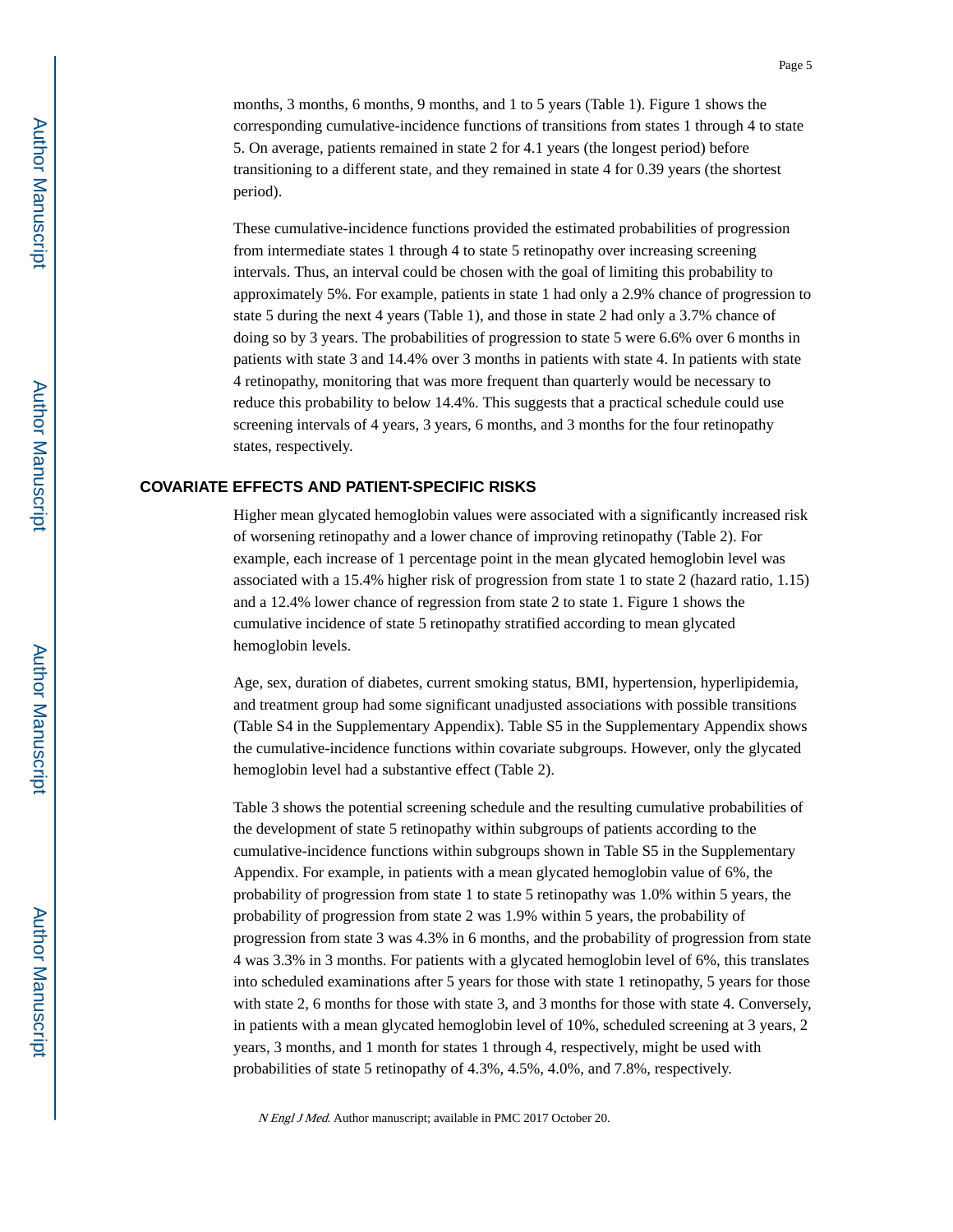Author Manuscript**Author Manuscript**  months, 3 months, 6 months, 9 months, and 1 to 5 years (Table 1). Figure 1 shows the corresponding cumulative-incidence functions of transitions from states 1 through 4 to state 5. On average, patients remained in state 2 for 4.1 years (the longest period) before transitioning to a different state, and they remained in state 4 for 0.39 years (the shortest period).

These cumulative-incidence functions provided the estimated probabilities of progression from intermediate states 1 through 4 to state 5 retinopathy over increasing screening intervals. Thus, an interval could be chosen with the goal of limiting this probability to approximately 5%. For example, patients in state 1 had only a 2.9% chance of progression to state 5 during the next 4 years (Table 1), and those in state 2 had only a 3.7% chance of doing so by 3 years. The probabilities of progression to state 5 were 6.6% over 6 months in patients with state 3 and 14.4% over 3 months in patients with state 4. In patients with state 4 retinopathy, monitoring that was more frequent than quarterly would be necessary to reduce this probability to below 14.4%. This suggests that a practical schedule could use screening intervals of 4 years, 3 years, 6 months, and 3 months for the four retinopathy states, respectively.

#### **COVARIATE EFFECTS AND PATIENT-SPECIFIC RISKS**

Higher mean glycated hemoglobin values were associated with a significantly increased risk of worsening retinopathy and a lower chance of improving retinopathy (Table 2). For example, each increase of 1 percentage point in the mean glycated hemoglobin level was associated with a 15.4% higher risk of progression from state 1 to state 2 (hazard ratio, 1.15) and a 12.4% lower chance of regression from state 2 to state 1. Figure 1 shows the cumulative incidence of state 5 retinopathy stratified according to mean glycated hemoglobin levels.

Age, sex, duration of diabetes, current smoking status, BMI, hypertension, hyperlipidemia, and treatment group had some significant unadjusted associations with possible transitions (Table S4 in the Supplementary Appendix). Table S5 in the Supplementary Appendix shows the cumulative-incidence functions within covariate subgroups. However, only the glycated hemoglobin level had a substantive effect (Table 2).

Table 3 shows the potential screening schedule and the resulting cumulative probabilities of the development of state 5 retinopathy within subgroups of patients according to the cumulative-incidence functions within subgroups shown in Table S5 in the Supplementary Appendix. For example, in patients with a mean glycated hemoglobin value of 6%, the probability of progression from state 1 to state 5 retinopathy was 1.0% within 5 years, the probability of progression from state 2 was 1.9% within 5 years, the probability of progression from state 3 was 4.3% in 6 months, and the probability of progression from state 4 was 3.3% in 3 months. For patients with a glycated hemoglobin level of 6%, this translates into scheduled examinations after 5 years for those with state 1 retinopathy, 5 years for those with state 2, 6 months for those with state 3, and 3 months for those with state 4. Conversely, in patients with a mean glycated hemoglobin level of 10%, scheduled screening at 3 years, 2 years, 3 months, and 1 month for states 1 through 4, respectively, might be used with probabilities of state 5 retinopathy of 4.3%, 4.5%, 4.0%, and 7.8%, respectively.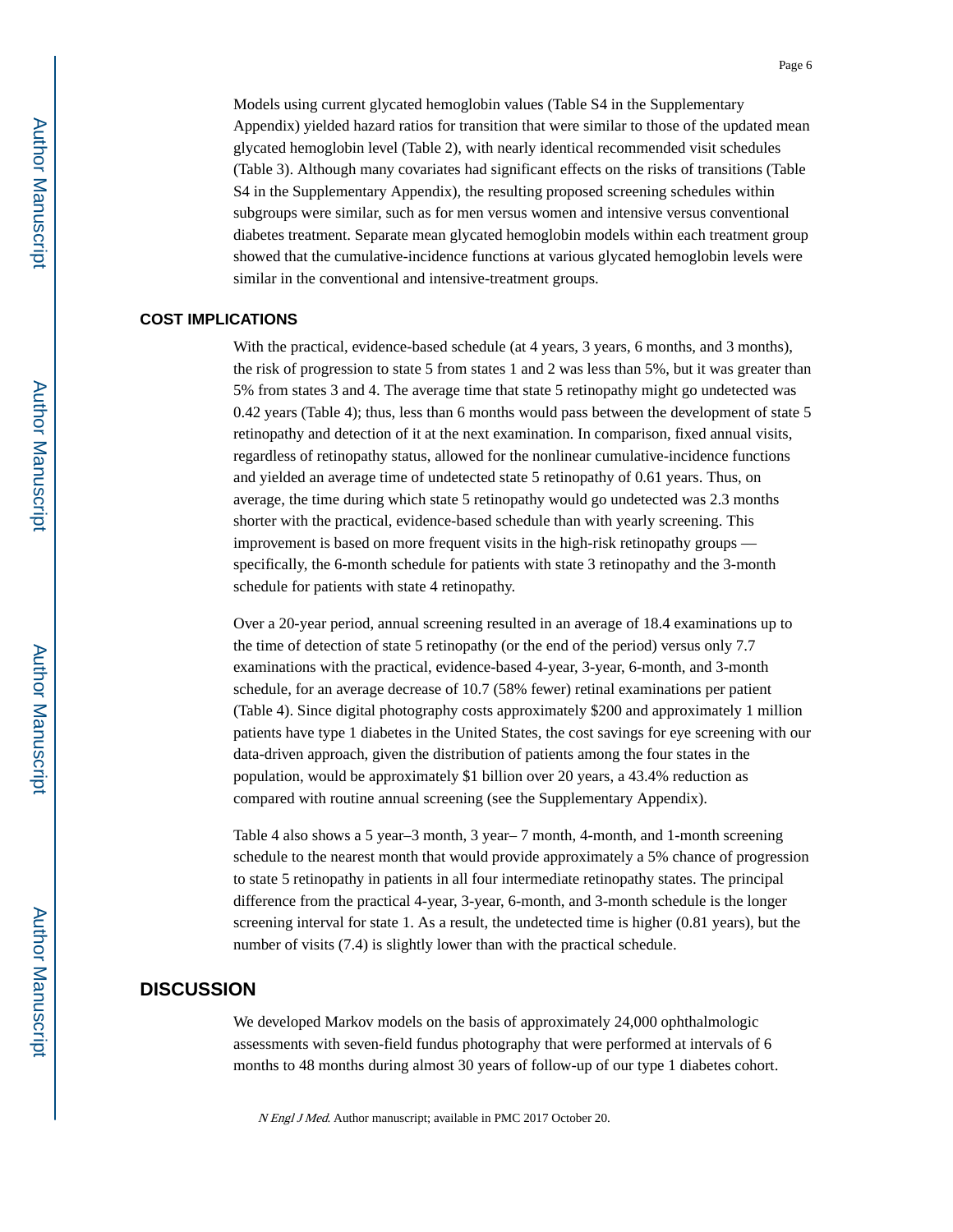Models using current glycated hemoglobin values (Table S4 in the Supplementary Appendix) yielded hazard ratios for transition that were similar to those of the updated mean glycated hemoglobin level (Table 2), with nearly identical recommended visit schedules (Table 3). Although many covariates had significant effects on the risks of transitions (Table S4 in the Supplementary Appendix), the resulting proposed screening schedules within subgroups were similar, such as for men versus women and intensive versus conventional diabetes treatment. Separate mean glycated hemoglobin models within each treatment group showed that the cumulative-incidence functions at various glycated hemoglobin levels were similar in the conventional and intensive-treatment groups.

#### **COST IMPLICATIONS**

With the practical, evidence-based schedule (at 4 years, 3 years, 6 months, and 3 months), the risk of progression to state 5 from states 1 and 2 was less than 5%, but it was greater than 5% from states 3 and 4. The average time that state 5 retinopathy might go undetected was 0.42 years (Table 4); thus, less than 6 months would pass between the development of state 5 retinopathy and detection of it at the next examination. In comparison, fixed annual visits, regardless of retinopathy status, allowed for the nonlinear cumulative-incidence functions and yielded an average time of undetected state 5 retinopathy of 0.61 years. Thus, on average, the time during which state 5 retinopathy would go undetected was 2.3 months shorter with the practical, evidence-based schedule than with yearly screening. This improvement is based on more frequent visits in the high-risk retinopathy groups specifically, the 6-month schedule for patients with state 3 retinopathy and the 3-month schedule for patients with state 4 retinopathy.

Over a 20-year period, annual screening resulted in an average of 18.4 examinations up to the time of detection of state 5 retinopathy (or the end of the period) versus only 7.7 examinations with the practical, evidence-based 4-year, 3-year, 6-month, and 3-month schedule, for an average decrease of 10.7 (58% fewer) retinal examinations per patient (Table 4). Since digital photography costs approximately \$200 and approximately 1 million patients have type 1 diabetes in the United States, the cost savings for eye screening with our data-driven approach, given the distribution of patients among the four states in the population, would be approximately \$1 billion over 20 years, a 43.4% reduction as compared with routine annual screening (see the Supplementary Appendix).

Table 4 also shows a 5 year–3 month, 3 year– 7 month, 4-month, and 1-month screening schedule to the nearest month that would provide approximately a 5% chance of progression to state 5 retinopathy in patients in all four intermediate retinopathy states. The principal difference from the practical 4-year, 3-year, 6-month, and 3-month schedule is the longer screening interval for state 1. As a result, the undetected time is higher (0.81 years), but the number of visits (7.4) is slightly lower than with the practical schedule.

#### **DISCUSSION**

We developed Markov models on the basis of approximately 24,000 ophthalmologic assessments with seven-field fundus photography that were performed at intervals of 6 months to 48 months during almost 30 years of follow-up of our type 1 diabetes cohort.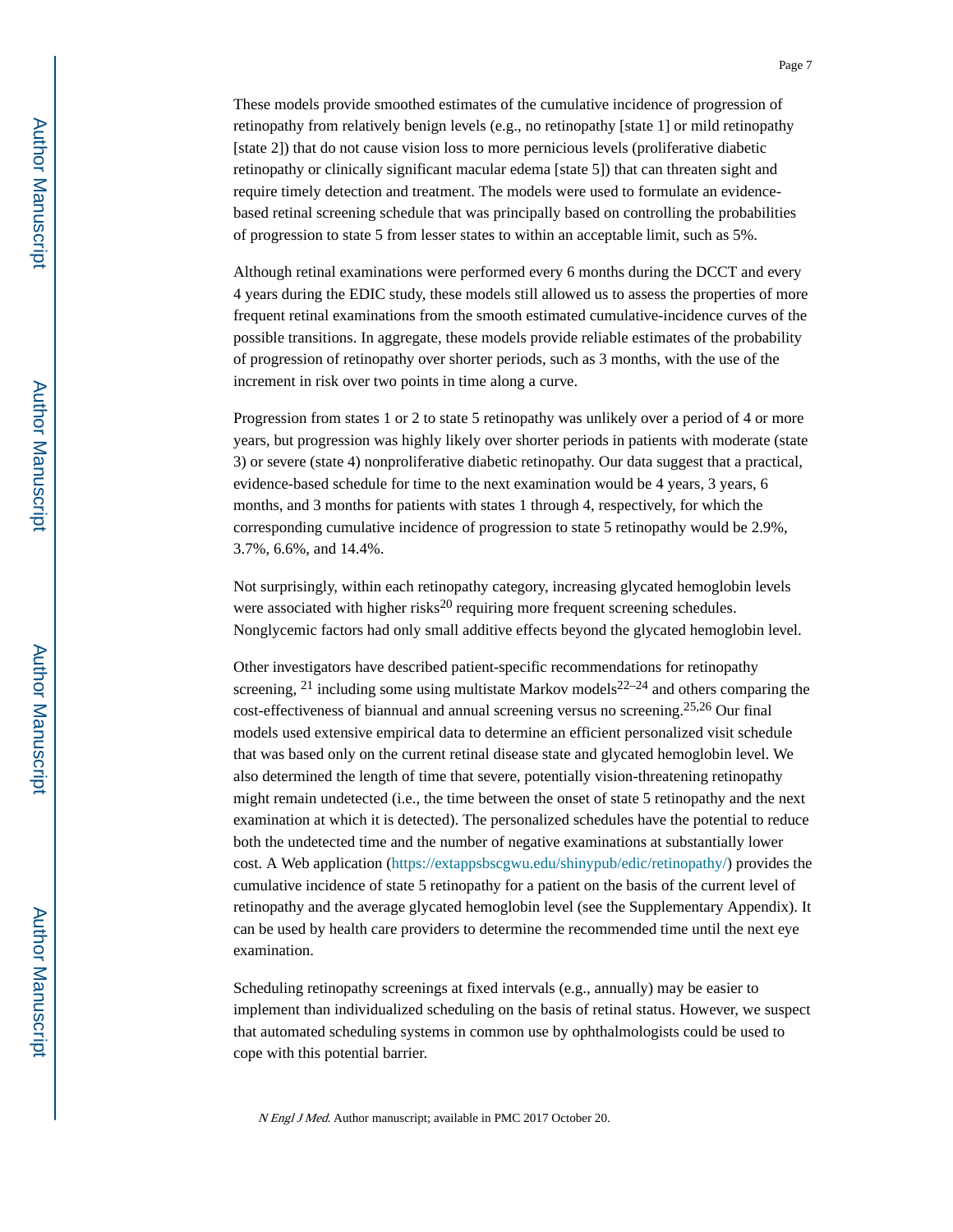These models provide smoothed estimates of the cumulative incidence of progression of retinopathy from relatively benign levels (e.g., no retinopathy [state 1] or mild retinopathy [state 2]) that do not cause vision loss to more pernicious levels (proliferative diabetic retinopathy or clinically significant macular edema [state 5]) that can threaten sight and require timely detection and treatment. The models were used to formulate an evidencebased retinal screening schedule that was principally based on controlling the probabilities of progression to state 5 from lesser states to within an acceptable limit, such as 5%.

Although retinal examinations were performed every 6 months during the DCCT and every 4 years during the EDIC study, these models still allowed us to assess the properties of more frequent retinal examinations from the smooth estimated cumulative-incidence curves of the possible transitions. In aggregate, these models provide reliable estimates of the probability of progression of retinopathy over shorter periods, such as 3 months, with the use of the increment in risk over two points in time along a curve.

Progression from states 1 or 2 to state 5 retinopathy was unlikely over a period of 4 or more years, but progression was highly likely over shorter periods in patients with moderate (state 3) or severe (state 4) nonproliferative diabetic retinopathy. Our data suggest that a practical, evidence-based schedule for time to the next examination would be 4 years, 3 years, 6 months, and 3 months for patients with states 1 through 4, respectively, for which the corresponding cumulative incidence of progression to state 5 retinopathy would be 2.9%, 3.7%, 6.6%, and 14.4%.

Not surprisingly, within each retinopathy category, increasing glycated hemoglobin levels were associated with higher risks $^{20}$  requiring more frequent screening schedules. Nonglycemic factors had only small additive effects beyond the glycated hemoglobin level.

Other investigators have described patient-specific recommendations for retinopathy screening,  $21$  including some using multistate Markov models  $22-24$  and others comparing the  $\cot$ -effectiveness of biannual and annual screening versus no screening.<sup>25,26</sup> Our final models used extensive empirical data to determine an efficient personalized visit schedule that was based only on the current retinal disease state and glycated hemoglobin level. We also determined the length of time that severe, potentially vision-threatening retinopathy might remain undetected (i.e., the time between the onset of state 5 retinopathy and the next examination at which it is detected). The personalized schedules have the potential to reduce both the undetected time and the number of negative examinations at substantially lower cost. A Web application (https://extappsbscgwu.edu/shinypub/edic/retinopathy/) provides the cumulative incidence of state 5 retinopathy for a patient on the basis of the current level of retinopathy and the average glycated hemoglobin level (see the Supplementary Appendix). It can be used by health care providers to determine the recommended time until the next eye examination.

Scheduling retinopathy screenings at fixed intervals (e.g., annually) may be easier to implement than individualized scheduling on the basis of retinal status. However, we suspect that automated scheduling systems in common use by ophthalmologists could be used to cope with this potential barrier.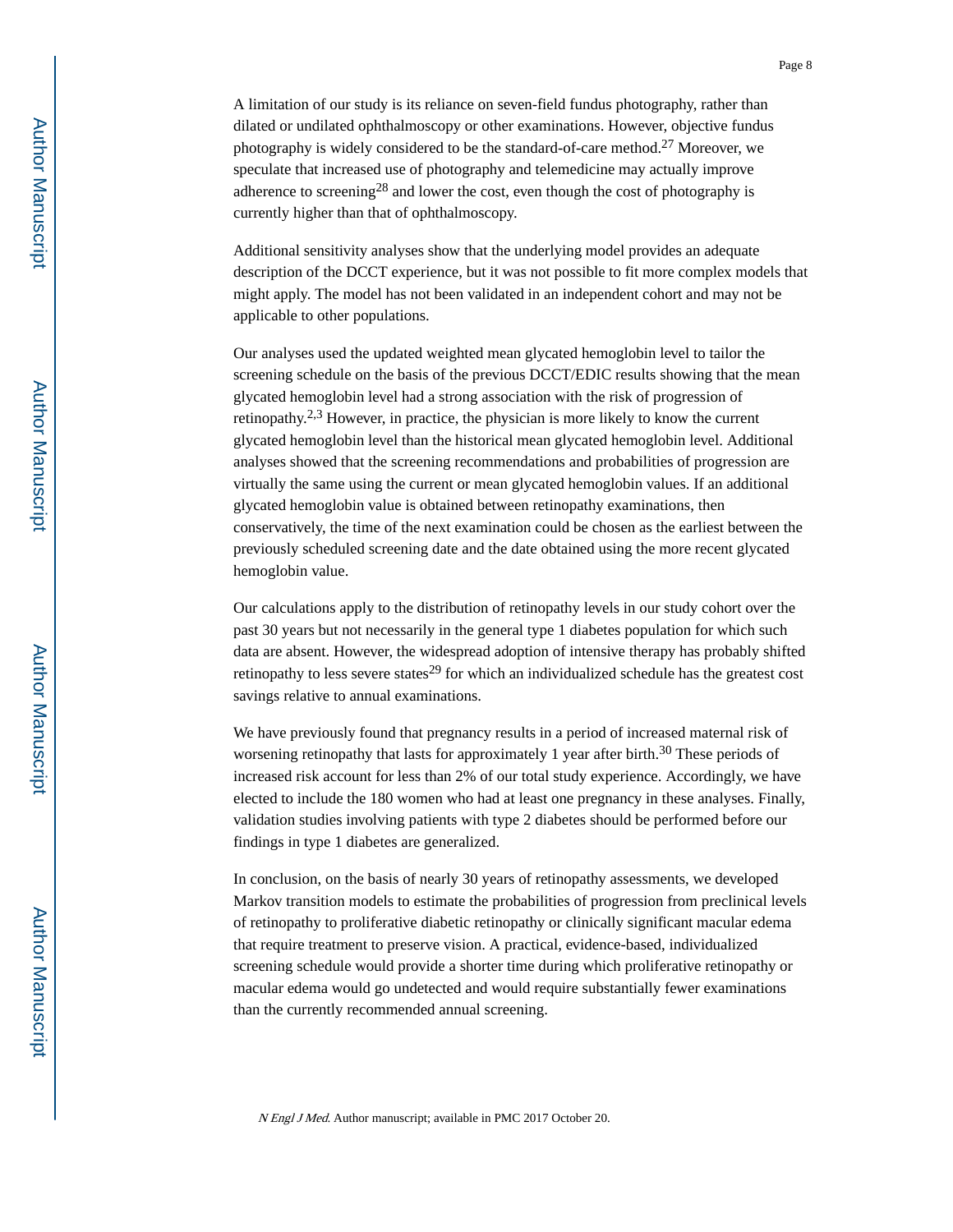A limitation of our study is its reliance on seven-field fundus photography, rather than dilated or undilated ophthalmoscopy or other examinations. However, objective fundus photography is widely considered to be the standard-of-care method.27 Moreover, we speculate that increased use of photography and telemedicine may actually improve adherence to screening<sup>28</sup> and lower the cost, even though the cost of photography is currently higher than that of ophthalmoscopy.

Additional sensitivity analyses show that the underlying model provides an adequate description of the DCCT experience, but it was not possible to fit more complex models that might apply. The model has not been validated in an independent cohort and may not be applicable to other populations.

Our analyses used the updated weighted mean glycated hemoglobin level to tailor the screening schedule on the basis of the previous DCCT/EDIC results showing that the mean glycated hemoglobin level had a strong association with the risk of progression of retinopathy.<sup>2,3</sup> However, in practice, the physician is more likely to know the current glycated hemoglobin level than the historical mean glycated hemoglobin level. Additional analyses showed that the screening recommendations and probabilities of progression are virtually the same using the current or mean glycated hemoglobin values. If an additional glycated hemoglobin value is obtained between retinopathy examinations, then conservatively, the time of the next examination could be chosen as the earliest between the previously scheduled screening date and the date obtained using the more recent glycated hemoglobin value.

Our calculations apply to the distribution of retinopathy levels in our study cohort over the past 30 years but not necessarily in the general type 1 diabetes population for which such data are absent. However, the widespread adoption of intensive therapy has probably shifted retinopathy to less severe states<sup>29</sup> for which an individualized schedule has the greatest cost savings relative to annual examinations.

We have previously found that pregnancy results in a period of increased maternal risk of worsening retinopathy that lasts for approximately 1 year after birth.<sup>30</sup> These periods of increased risk account for less than 2% of our total study experience. Accordingly, we have elected to include the 180 women who had at least one pregnancy in these analyses. Finally, validation studies involving patients with type 2 diabetes should be performed before our findings in type 1 diabetes are generalized.

In conclusion, on the basis of nearly 30 years of retinopathy assessments, we developed Markov transition models to estimate the probabilities of progression from preclinical levels of retinopathy to proliferative diabetic retinopathy or clinically significant macular edema that require treatment to preserve vision. A practical, evidence-based, individualized screening schedule would provide a shorter time during which proliferative retinopathy or macular edema would go undetected and would require substantially fewer examinations than the currently recommended annual screening.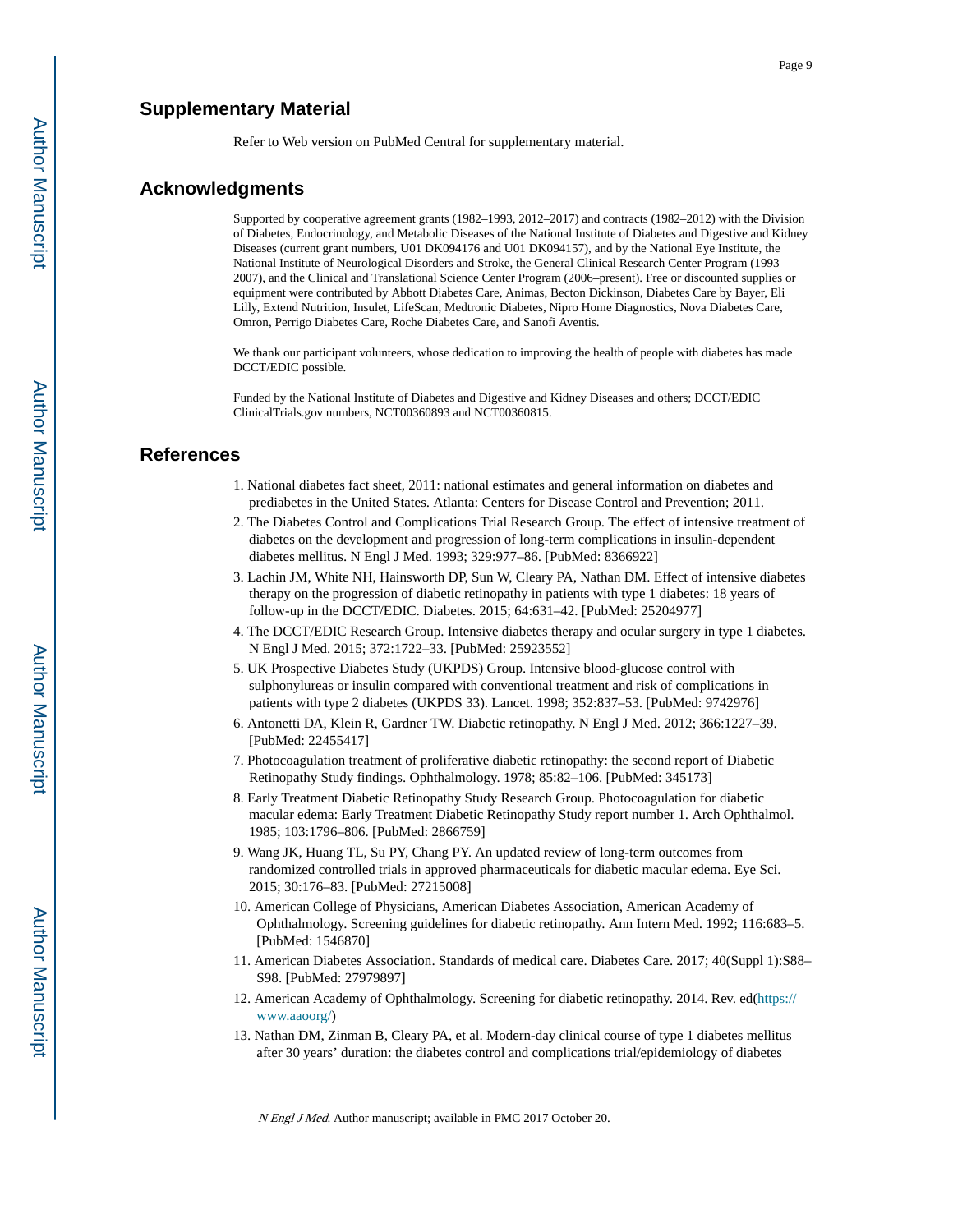#### **Supplementary Material**

Refer to Web version on PubMed Central for supplementary material.

#### **Acknowledgments**

Supported by cooperative agreement grants (1982–1993, 2012–2017) and contracts (1982–2012) with the Division of Diabetes, Endocrinology, and Metabolic Diseases of the National Institute of Diabetes and Digestive and Kidney Diseases (current grant numbers, U01 DK094176 and U01 DK094157), and by the National Eye Institute, the National Institute of Neurological Disorders and Stroke, the General Clinical Research Center Program (1993– 2007), and the Clinical and Translational Science Center Program (2006–present). Free or discounted supplies or equipment were contributed by Abbott Diabetes Care, Animas, Becton Dickinson, Diabetes Care by Bayer, Eli Lilly, Extend Nutrition, Insulet, LifeScan, Medtronic Diabetes, Nipro Home Diagnostics, Nova Diabetes Care, Omron, Perrigo Diabetes Care, Roche Diabetes Care, and Sanofi Aventis.

We thank our participant volunteers, whose dedication to improving the health of people with diabetes has made DCCT/EDIC possible.

Funded by the National Institute of Diabetes and Digestive and Kidney Diseases and others; DCCT/EDIC ClinicalTrials.gov numbers, NCT00360893 and NCT00360815.

#### **References**

- 1. National diabetes fact sheet, 2011: national estimates and general information on diabetes and prediabetes in the United States. Atlanta: Centers for Disease Control and Prevention; 2011.
- 2. The Diabetes Control and Complications Trial Research Group. The effect of intensive treatment of diabetes on the development and progression of long-term complications in insulin-dependent diabetes mellitus. N Engl J Med. 1993; 329:977–86. [PubMed: 8366922]
- 3. Lachin JM, White NH, Hainsworth DP, Sun W, Cleary PA, Nathan DM. Effect of intensive diabetes therapy on the progression of diabetic retinopathy in patients with type 1 diabetes: 18 years of follow-up in the DCCT/EDIC. Diabetes. 2015; 64:631–42. [PubMed: 25204977]
- 4. The DCCT/EDIC Research Group. Intensive diabetes therapy and ocular surgery in type 1 diabetes. N Engl J Med. 2015; 372:1722–33. [PubMed: 25923552]
- 5. UK Prospective Diabetes Study (UKPDS) Group. Intensive blood-glucose control with sulphonylureas or insulin compared with conventional treatment and risk of complications in patients with type 2 diabetes (UKPDS 33). Lancet. 1998; 352:837–53. [PubMed: 9742976]
- 6. Antonetti DA, Klein R, Gardner TW. Diabetic retinopathy. N Engl J Med. 2012; 366:1227–39. [PubMed: 22455417]
- 7. Photocoagulation treatment of proliferative diabetic retinopathy: the second report of Diabetic Retinopathy Study findings. Ophthalmology. 1978; 85:82–106. [PubMed: 345173]
- 8. Early Treatment Diabetic Retinopathy Study Research Group. Photocoagulation for diabetic macular edema: Early Treatment Diabetic Retinopathy Study report number 1. Arch Ophthalmol. 1985; 103:1796–806. [PubMed: 2866759]
- 9. Wang JK, Huang TL, Su PY, Chang PY. An updated review of long-term outcomes from randomized controlled trials in approved pharmaceuticals for diabetic macular edema. Eye Sci. 2015; 30:176–83. [PubMed: 27215008]
- 10. American College of Physicians, American Diabetes Association, American Academy of Ophthalmology. Screening guidelines for diabetic retinopathy. Ann Intern Med. 1992; 116:683–5. [PubMed: 1546870]
- 11. American Diabetes Association. Standards of medical care. Diabetes Care. 2017; 40(Suppl 1):S88– S98. [PubMed: 27979897]
- 12. American Academy of Ophthalmology. Screening for diabetic retinopathy. 2014. Rev. ed(https:// www.aaoorg/)
- 13. Nathan DM, Zinman B, Cleary PA, et al. Modern-day clinical course of type 1 diabetes mellitus after 30 years' duration: the diabetes control and complications trial/epidemiology of diabetes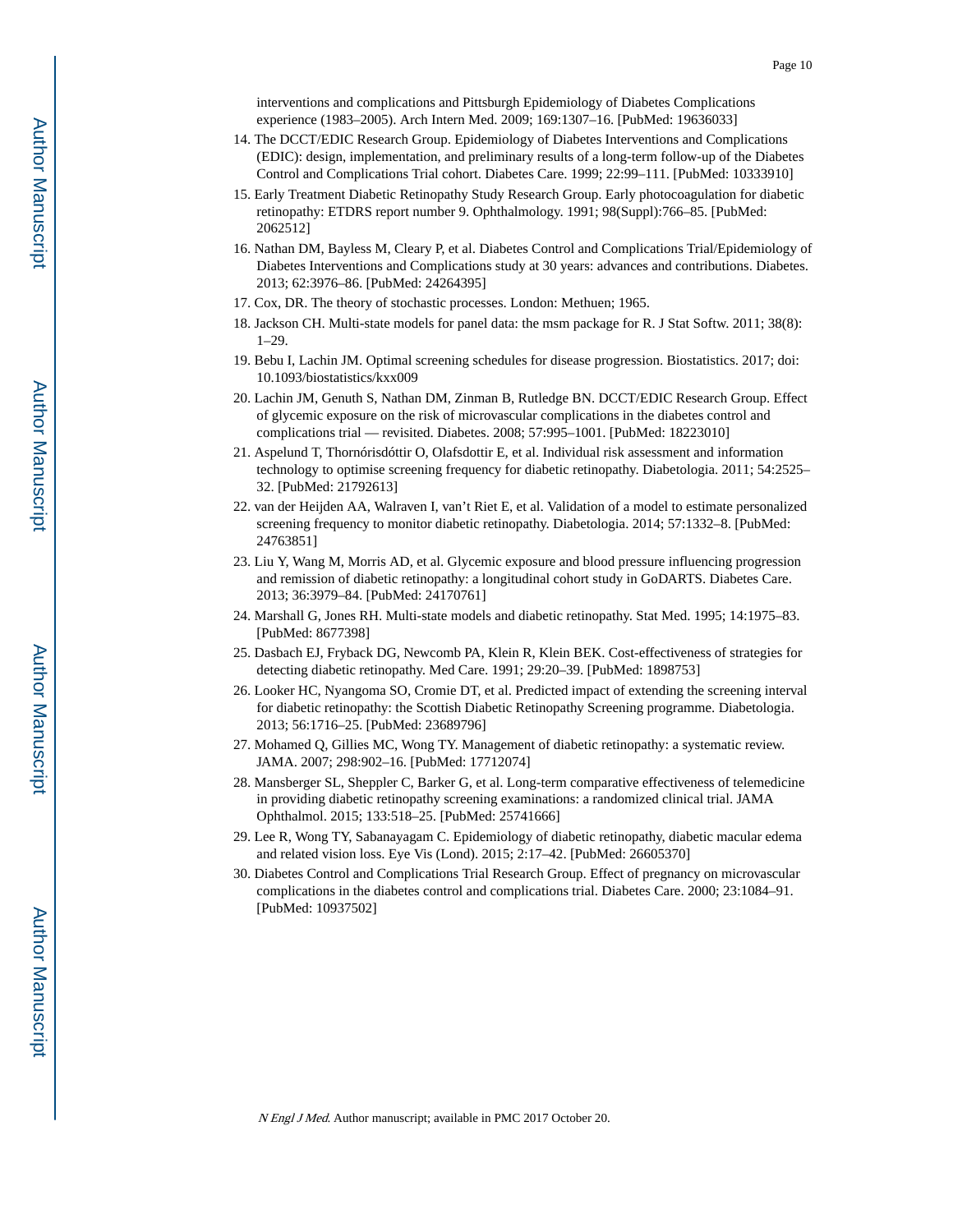interventions and complications and Pittsburgh Epidemiology of Diabetes Complications experience (1983–2005). Arch Intern Med. 2009; 169:1307–16. [PubMed: 19636033]

- 14. The DCCT/EDIC Research Group. Epidemiology of Diabetes Interventions and Complications (EDIC): design, implementation, and preliminary results of a long-term follow-up of the Diabetes Control and Complications Trial cohort. Diabetes Care. 1999; 22:99–111. [PubMed: 10333910]
- 15. Early Treatment Diabetic Retinopathy Study Research Group. Early photocoagulation for diabetic retinopathy: ETDRS report number 9. Ophthalmology. 1991; 98(Suppl):766–85. [PubMed: 2062512]
- 16. Nathan DM, Bayless M, Cleary P, et al. Diabetes Control and Complications Trial/Epidemiology of Diabetes Interventions and Complications study at 30 years: advances and contributions. Diabetes. 2013; 62:3976–86. [PubMed: 24264395]
- 17. Cox, DR. The theory of stochastic processes. London: Methuen; 1965.
- 18. Jackson CH. Multi-state models for panel data: the msm package for R. J Stat Softw. 2011; 38(8): 1–29.
- 19. Bebu I, Lachin JM. Optimal screening schedules for disease progression. Biostatistics. 2017; doi: 10.1093/biostatistics/kxx009
- 20. Lachin JM, Genuth S, Nathan DM, Zinman B, Rutledge BN. DCCT/EDIC Research Group. Effect of glycemic exposure on the risk of microvascular complications in the diabetes control and complications trial — revisited. Diabetes. 2008; 57:995–1001. [PubMed: 18223010]
- 21. Aspelund T, Thornórisdóttir O, Olafsdottir E, et al. Individual risk assessment and information technology to optimise screening frequency for diabetic retinopathy. Diabetologia. 2011; 54:2525– 32. [PubMed: 21792613]
- 22. van der Heijden AA, Walraven I, van't Riet E, et al. Validation of a model to estimate personalized screening frequency to monitor diabetic retinopathy. Diabetologia. 2014; 57:1332–8. [PubMed: 24763851]
- 23. Liu Y, Wang M, Morris AD, et al. Glycemic exposure and blood pressure influencing progression and remission of diabetic retinopathy: a longitudinal cohort study in GoDARTS. Diabetes Care. 2013; 36:3979–84. [PubMed: 24170761]
- 24. Marshall G, Jones RH. Multi-state models and diabetic retinopathy. Stat Med. 1995; 14:1975–83. [PubMed: 8677398]
- 25. Dasbach EJ, Fryback DG, Newcomb PA, Klein R, Klein BEK. Cost-effectiveness of strategies for detecting diabetic retinopathy. Med Care. 1991; 29:20–39. [PubMed: 1898753]
- 26. Looker HC, Nyangoma SO, Cromie DT, et al. Predicted impact of extending the screening interval for diabetic retinopathy: the Scottish Diabetic Retinopathy Screening programme. Diabetologia. 2013; 56:1716–25. [PubMed: 23689796]
- 27. Mohamed Q, Gillies MC, Wong TY. Management of diabetic retinopathy: a systematic review. JAMA. 2007; 298:902–16. [PubMed: 17712074]
- 28. Mansberger SL, Sheppler C, Barker G, et al. Long-term comparative effectiveness of telemedicine in providing diabetic retinopathy screening examinations: a randomized clinical trial. JAMA Ophthalmol. 2015; 133:518–25. [PubMed: 25741666]
- 29. Lee R, Wong TY, Sabanayagam C. Epidemiology of diabetic retinopathy, diabetic macular edema and related vision loss. Eye Vis (Lond). 2015; 2:17–42. [PubMed: 26605370]
- 30. Diabetes Control and Complications Trial Research Group. Effect of pregnancy on microvascular complications in the diabetes control and complications trial. Diabetes Care. 2000; 23:1084–91. [PubMed: 10937502]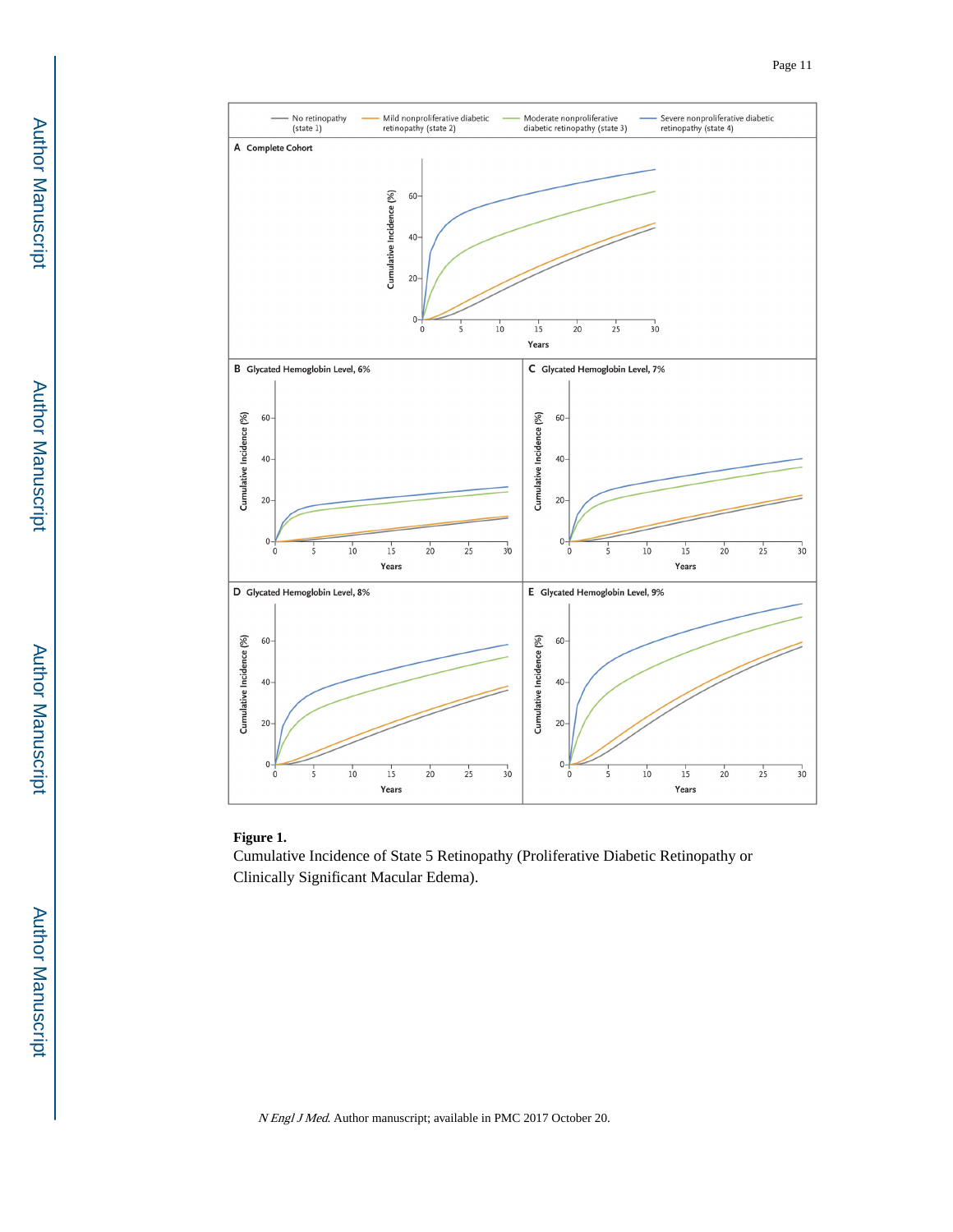

#### **Figure 1.**

Cumulative Incidence of State 5 Retinopathy (Proliferative Diabetic Retinopathy or Clinically Significant Macular Edema).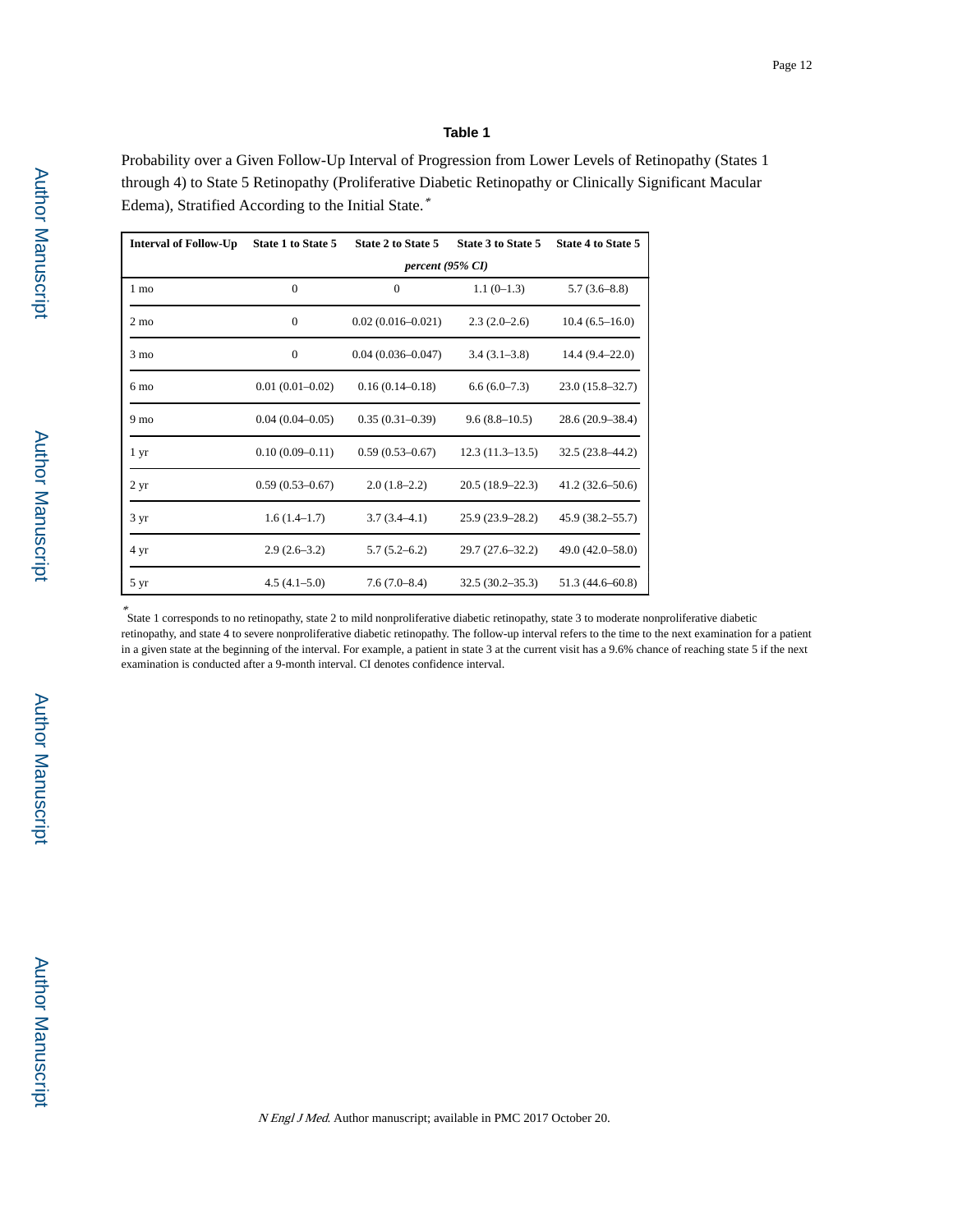#### **Table 1**

Probability over a Given Follow-Up Interval of Progression from Lower Levels of Retinopathy (States 1 through 4) to State 5 Retinopathy (Proliferative Diabetic Retinopathy or Clinically Significant Macular Edema), Stratified According to the Initial State.\*

| <b>Interval of Follow-Up</b> | State 1 to State 5  | State 2 to State 5    | State 3 to State 5  | <b>State 4 to State 5</b> |
|------------------------------|---------------------|-----------------------|---------------------|---------------------------|
|                              |                     | $percent (95\% CI)$   |                     |                           |
| $1 \text{ mo}$               | $\mathbf{0}$        | $\mathbf{0}$          | $1.1(0-1.3)$        | $5.7(3.6-8.8)$            |
| $2 \text{ mo}$               | $\mathbf{0}$        | $0.02(0.016 - 0.021)$ | $2.3(2.0-2.6)$      | $10.4(6.5-16.0)$          |
| 3 mo                         | $\overline{0}$      | $0.04(0.036 - 0.047)$ | $3.4(3.1-3.8)$      | $14.4(9.4-22.0)$          |
| $6 \text{ mo}$               | $0.01(0.01 - 0.02)$ | $0.16(0.14 - 0.18)$   | $6.6(6.0-7.3)$      | $23.0(15.8 - 32.7)$       |
| 9 mo                         | $0.04(0.04 - 0.05)$ | $0.35(0.31-0.39)$     | $9.6(8.8-10.5)$     | $28.6(20.9 - 38.4)$       |
| 1 yr                         | $0.10(0.09 - 0.11)$ | $0.59(0.53 - 0.67)$   | $12.3(11.3-13.5)$   | $32.5(23.8 - 44.2)$       |
| 2 <sub>yr</sub>              | $0.59(0.53 - 0.67)$ | $2.0(1.8-2.2)$        | $20.5(18.9-22.3)$   | $41.2(32.6 - 50.6)$       |
| 3 yr                         | $1.6(1.4-1.7)$      | $3.7(3.4 - 4.1)$      | $25.9(23.9 - 28.2)$ | $45.9(38.2 - 55.7)$       |
| 4 yr                         | $2.9(2.6-3.2)$      | $5.7(5.2 - 6.2)$      | 29.7 (27.6–32.2)    | 49.0 (42.0–58.0)          |
| 5 yr                         | $4.5(4.1-5.0)$      | $7.6(7.0-8.4)$        | $32.5(30.2 - 35.3)$ | $51.3(44.6 - 60.8)$       |

\* State 1 corresponds to no retinopathy, state 2 to mild nonproliferative diabetic retinopathy, state 3 to moderate nonproliferative diabetic retinopathy, and state 4 to severe nonproliferative diabetic retinopathy. The follow-up interval refers to the time to the next examination for a patient in a given state at the beginning of the interval. For example, a patient in state 3 at the current visit has a 9.6% chance of reaching state 5 if the next examination is conducted after a 9-month interval. CI denotes confidence interval.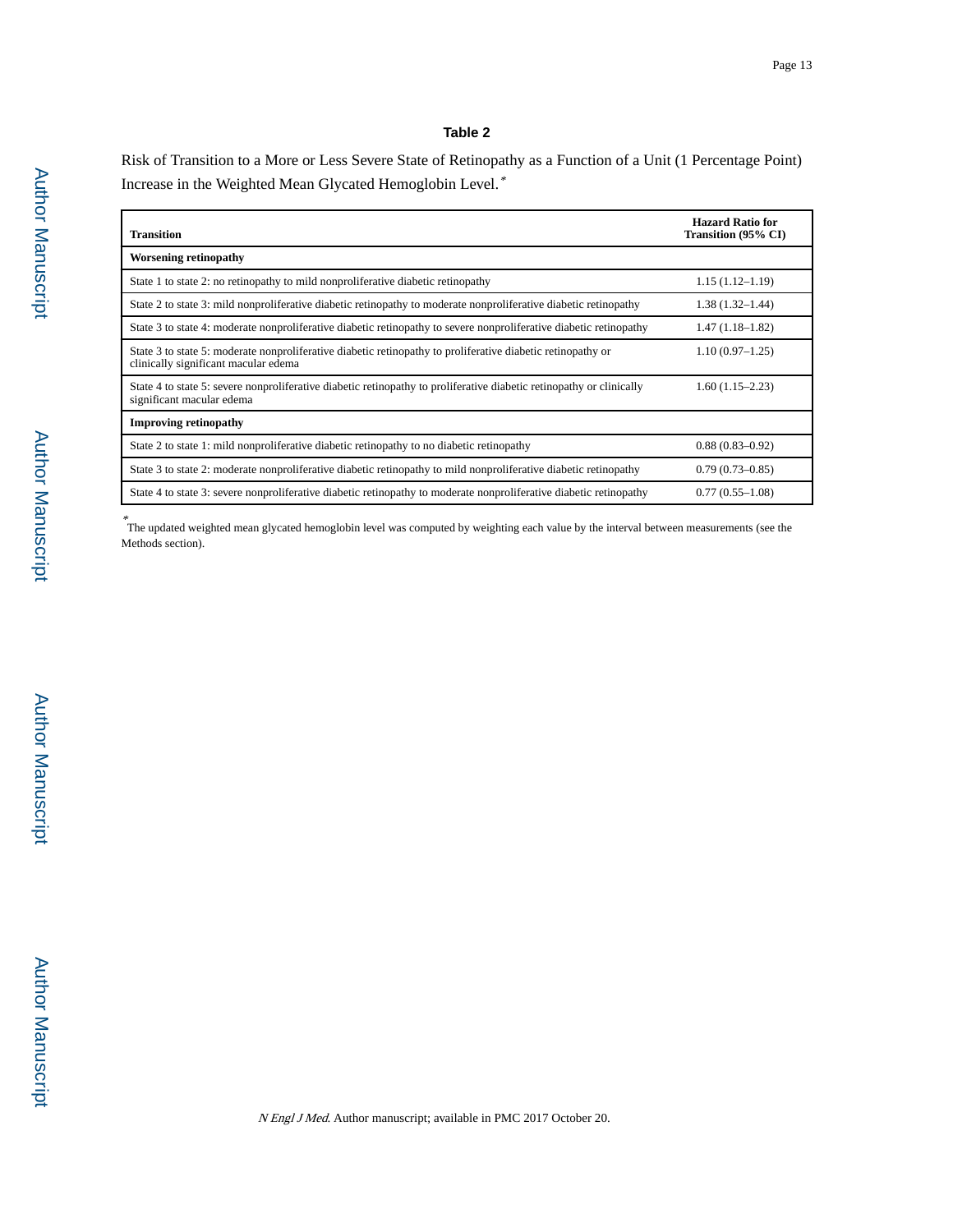#### **Table 2**

Risk of Transition to a More or Less Severe State of Retinopathy as a Function of a Unit (1 Percentage Point) Increase in the Weighted Mean Glycated Hemoglobin Level.\*

| <b>Transition</b>                                                                                                                                   | <b>Hazard Ratio for</b><br>Transition (95% CI) |
|-----------------------------------------------------------------------------------------------------------------------------------------------------|------------------------------------------------|
| <b>Worsening retinopathy</b>                                                                                                                        |                                                |
| State 1 to state 2: no retinopathy to mild nonproliferative diabetic retinopathy                                                                    | $1.15(1.12 - 1.19)$                            |
| State 2 to state 3: mild nonproliferative diabetic retinopathy to moderate nonproliferative diabetic retinopathy                                    | $1.38(1.32 - 1.44)$                            |
| State 3 to state 4: moderate nonproliferative diabetic retinopathy to severe nonproliferative diabetic retinopathy                                  | $1.47(1.18-1.82)$                              |
| State 3 to state 5: moderate nonproliferative diabetic retinopathy to proliferative diabetic retinopathy or<br>clinically significant macular edema | $1.10(0.97-1.25)$                              |
| State 4 to state 5: severe nonproliferative diabetic retinopathy to proliferative diabetic retinopathy or clinically<br>significant macular edema   | $1.60(1.15-2.23)$                              |
| <b>Improving retinopathy</b>                                                                                                                        |                                                |
| State 2 to state 1: mild nonproliferative diabetic retinopathy to no diabetic retinopathy                                                           | $0.88(0.83 - 0.92)$                            |
| State 3 to state 2: moderate nonproliferative diabetic retinopathy to mild nonproliferative diabetic retinopathy                                    | $0.79(0.73 - 0.85)$                            |
| State 4 to state 3: severe nonproliferative diabetic retinopathy to moderate nonproliferative diabetic retinopathy                                  | $0.77(0.55-1.08)$                              |

\* The updated weighted mean glycated hemoglobin level was computed by weighting each value by the interval between measurements (see the Methods section).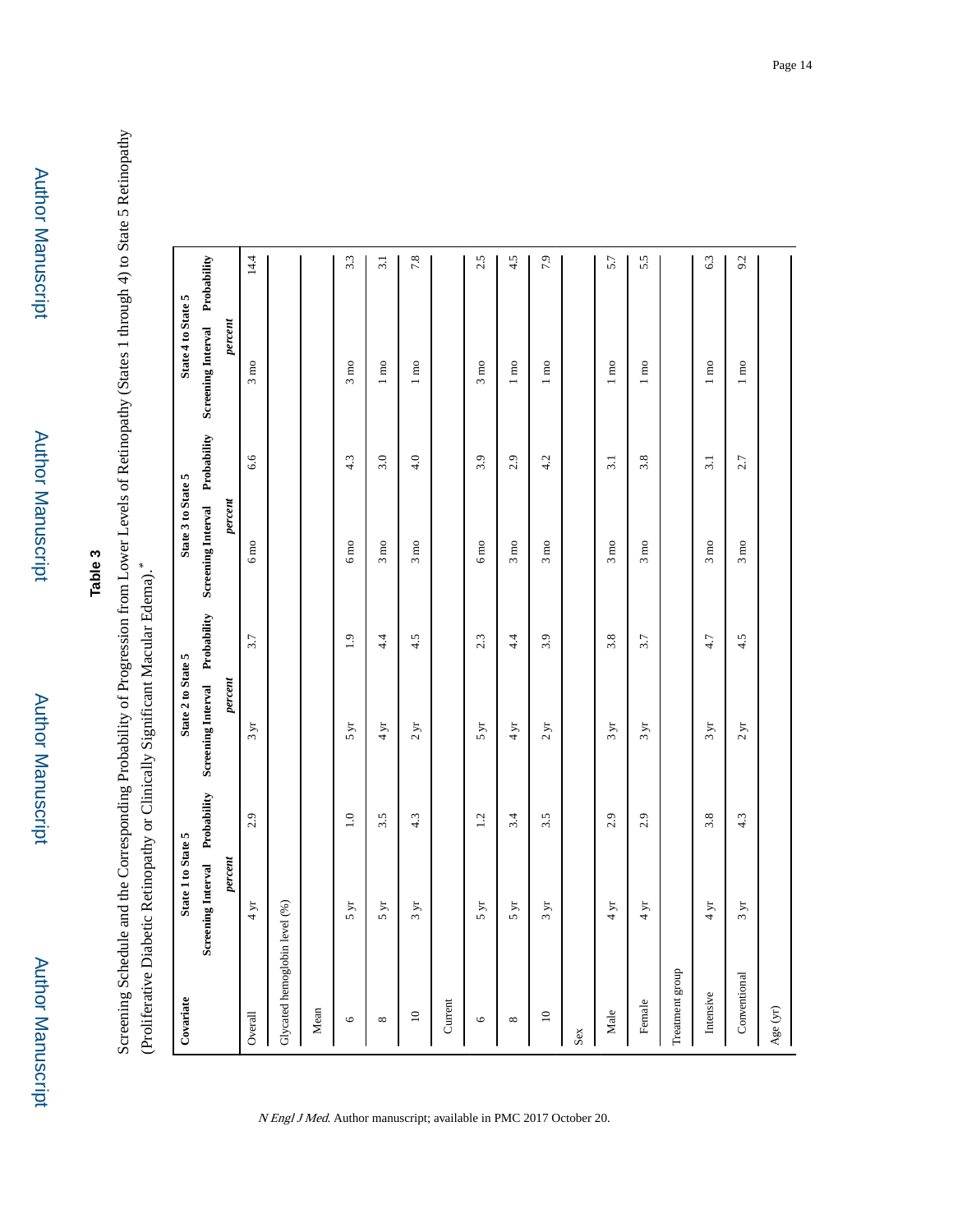## **Table 3**

Screening Schedule and the Corresponding Probability of Progression from Lower Levels of Retinopathy (States 1 through 4) to State 5 Retinopathy Screening Schedule and the Corresponding Probability of Progression from Lower Levels of Retinopathy (States 1 through 4) to State 5 Retinopathy \* (Proliferative Diabetic Retinopathy or Clinically Significant Macular Edema).

| Covariate       | State 1 to State 5            |         | State 2 to State 5                                            |     | State 3 to State 5             |                  | State 4 to State 5             |                  |
|-----------------|-------------------------------|---------|---------------------------------------------------------------|-----|--------------------------------|------------------|--------------------------------|------------------|
|                 |                               |         | Screening Interval Probability Screening Interval Probability |     | Screening Interval Probability |                  | Screening Interval Probability |                  |
|                 | $\emph{percent}$              |         | percent                                                       |     | percent                        |                  | percent                        |                  |
| Overall         | 4 yr                          | 2.9     | $3 \text{ yr}$                                                | 3.7 | $6 \text{ mo}$                 | 6.6              | $3 \text{ mo}$                 | 14.4             |
|                 | Glycated hemoglobin level (%) |         |                                                               |     |                                |                  |                                |                  |
| Mean            |                               |         |                                                               |     |                                |                  |                                |                  |
| $\bullet$       | $5 \, yr$                     | $1.0\,$ | 5 yr                                                          | 1.9 | $6 \text{ }\mathrm{mo}$        | 4.3              | $3 \text{ mo}$                 | 3.3              |
| ${}^{\infty}$   | 5 yr                          | 3.5     | 4 yr                                                          | 4.4 | $3 \text{ mo}$                 | 3.0              | $1 \text{ mo}$                 | $\overline{3.1}$ |
| $\supseteq$     | $3 \text{ yr}$                | 4.3     | 2 yr                                                          | 4.5 | $3 \text{ mo}$                 | 4.0              | $1 \text{ mo}$                 | 7.8              |
| Current         |                               |         |                                                               |     |                                |                  |                                |                  |
| $\bullet$       | $5 \text{ yr}$                | 1.2     | $5 \text{ yr}$                                                | 2.3 | $6 \:\rm{m}$                   | 3.9              | $3 \text{ mo}$                 | 2.5              |
| ${}^{\infty}$   | $5 \text{ yr}$                | 3.4     | 4 yr                                                          | 4.4 | $3 \text{ mo}$                 | 2.9              | $1 \text{ mo}$                 | 4.5              |
| $\mathbf{C}$    | $3 \text{ yr}$                | 3.5     | 2 yr                                                          | 3.9 | $3 \text{ mo}$                 | 4.2              | $1 \text{ mo}$                 | $\ddot{5}$       |
| Sex             |                               |         |                                                               |     |                                |                  |                                |                  |
| Male            | $4 \text{ yr}$                | 2.9     | $3 \text{ yr}$                                                | 3.8 | $3 \text{ mo}$                 | 3.1              | $1 \text{ mo}$                 | 5.7              |
| Female          | $4 \text{ yr}$                | 2.9     | $3 \text{ yr}$                                                | 3.7 | $3 \text{ mo}$                 | 3.8              | $1 \text{ mo}$                 | 5.5              |
| Treatment group |                               |         |                                                               |     |                                |                  |                                |                  |
| Intensive       | 4 yr                          | 3.8     | 3yr                                                           | 4.7 | $3 \ \mathrm{mo}$              | $\overline{3.1}$ | $1 \text{ mo}$                 | 63               |
| Conventional    | $3 \text{ yr}$                | 4.3     | 2 yr                                                          | 4.5 | $3 \text{ mo}$                 | 2.7              | $1 \text{ m}$                  | 9.2              |
| Age (yr)        |                               |         |                                                               |     |                                |                  |                                |                  |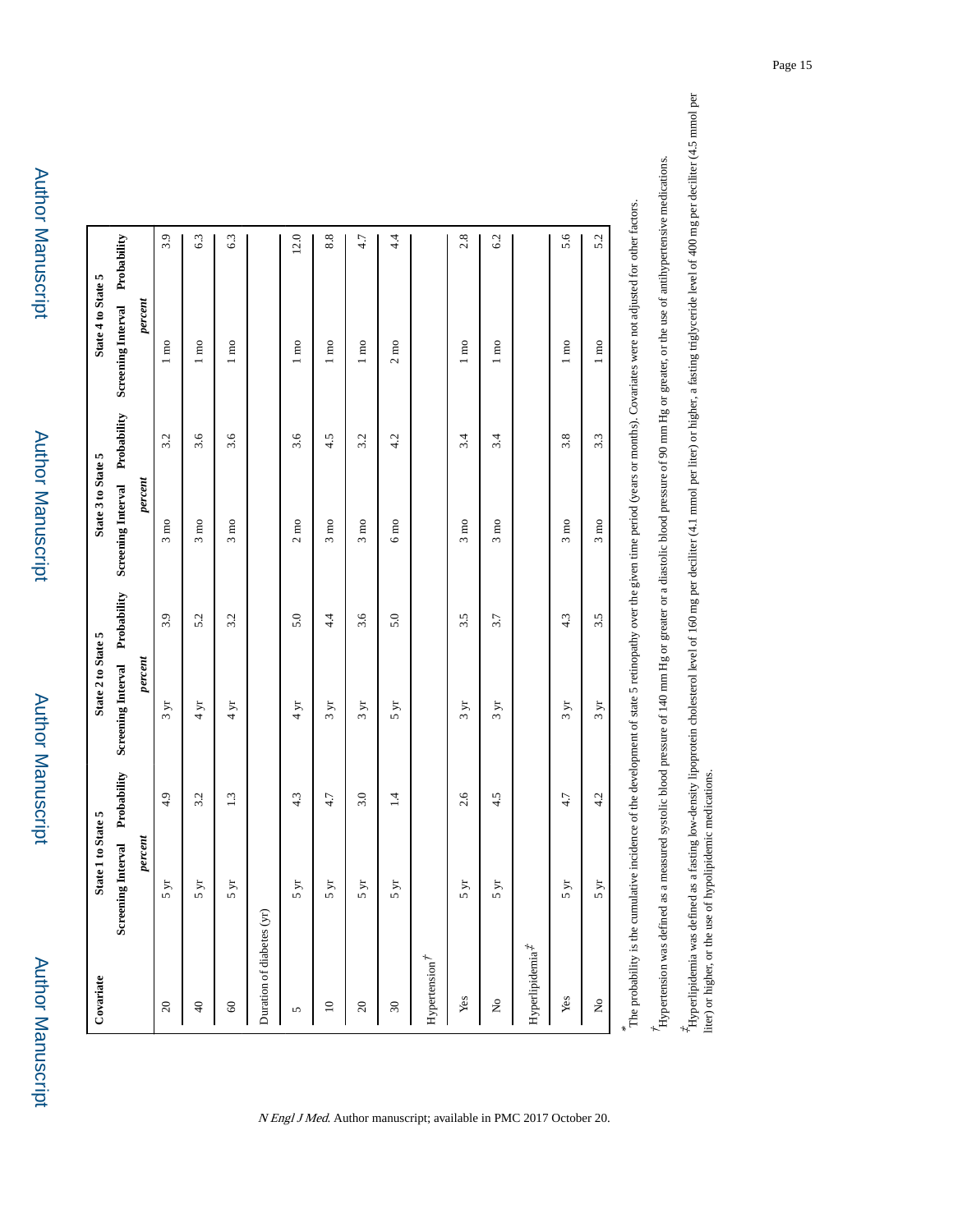Author Manuscript

**Author Manuscript** 

| Covariate                     | State 1 to State 5             |     | State 2 to State 5             |     | State 3 to State 5             |     | State 4 to State 5             |      |
|-------------------------------|--------------------------------|-----|--------------------------------|-----|--------------------------------|-----|--------------------------------|------|
|                               | Screening Interval Probability |     | Screening Interval Probability |     | Screening Interval Probability |     | Screening Interval Probability |      |
|                               | percent                        |     | percent                        |     | percent                        |     | percent                        |      |
| $20\,$                        | $\lambda$                      | 4.9 | $3 \text{ yr}$                 | 3.9 | $3 \text{ mo}$                 | 3.2 | $1 \text{ mo}$                 | 3.9  |
| $\Theta$                      | $\mu$<br>u)                    | 3.2 | $4 \text{ yr}$                 | 5.2 | $3 \text{ mo}$                 | 3.6 | $1 \text{ mo}$                 | 6.3  |
| $\pmb{\mathcal{S}}$           | $\mathbf{y}$                   | 1.3 | 4 yr                           | 3.2 | $3 \text{ mo}$                 | 3.6 | $1 \text{ mo}$                 | 6.3  |
| Duration of diabetes (yr)     |                                |     |                                |     |                                |     |                                |      |
| 5                             | $\mu$<br>n                     | 4.3 | $4 \,\rm yr$                   | 5.0 | $2 \text{ mo}$                 | 3.6 | $1 \text{ mo}$                 | 12.0 |
| $\square$                     | $\mu$                          | 4.7 | $3 \text{ yr}$                 | 4.4 | $3 \text{ mo}$                 | 4.5 | $1 \text{ mo}$                 | 8.8  |
| $20\,$                        | $\mu$                          | 3.0 | $3 \, yr$                      | 3.6 | $3 \text{ mo}$                 | 3.2 | $1 \text{ mo}$                 | 4.7  |
| $\boldsymbol{30}$             | $\mathbf{y}$                   | 1.4 | 5 yr                           | 5.0 | $6 \text{ mo}$                 | 4.2 | $2\,\mathrm{mo}$               | 4.4  |
| Hypertension $\vec{r}$        |                                |     |                                |     |                                |     |                                |      |
| Yes                           | $\mu$<br>5                     | 2.6 | 3yr                            | 3.5 | $3 \text{ mo}$                 | 3.4 | $1 \text{ mo}$                 | 2.8  |
| $\mathsf{S}^{\mathsf{o}}$     | $\gtrsim$                      | 4.5 | $3 \text{ yr}$                 | 3.7 | $3 \text{ mo}$                 | 3.4 | $1 \text{ mo}$                 | 6.2  |
| $Hyperlipidemia$ <sup>#</sup> |                                |     |                                |     |                                |     |                                |      |
| Yes                           | $\overline{y}$<br>u,           | 4.7 | $3 \text{ yr}$                 | 4.3 | $3 \text{ mo}$                 | 3.8 | $1 \text{ mo}$                 | 5.6  |
| ż                             | $\lambda$                      | 4.2 | 3yr                            | 3.5 | $3 \text{ mo}$                 | 3.3 | $1 \text{ mo}$                 | 5.2  |

 $^4$ Hyperlipidemia was defined as a fasting low-density lipoprotein cholesterol level of 160 mg per deciliter (4.1 mmol per liter) or higher, a fasting triglyceride level of 400 mg per deciliter (4.5 mmol per liter) or hi ‡ Hyperlipidemia was defined as a fasting low-density lipoprotein cholesterol level of 160 mg per deciliter (4.1 mmol per liter) or higher, a fasting triglyceride level of 400 mg per deciliter (4.5 mmol per Hypertension was defined as a measured systolic blood pressure of 140 mm Hg or greater or a diastolic blood pressure of 90 mm Hg or greater, or the use of antihypertensive medications. Hypertension was defined as a measured systolic blood pressure of 140 mm Hg or greater or a diastolic blood pressure of 90 mm Hg or greater, or the use of antihypertensive medications.

liter) or higher, or the use of hypolipidemic medications.

N Engl J Med. Author manuscript; available in PMC 2017 October 20.